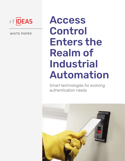

WHITE PAPER

# Access Control Enters the Realm of Industrial Automation

Smart technologies for evolving authentication needs

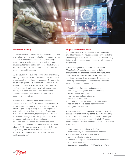

# State of the Industry

Controlling access to and within the manufacturing plant and protecting information and automation systems from breaches is a business essential. A physical or logical security lapse, whether accidental or malicious, can cause significant and lasting damage, particularly when it harms personnel, the equipment or environment, or impacts the quality process.

Building automation systems control a facility's climate, lighting and similar systems, and equipment automation systems control machines and processes. They are often driven by programmable automation controllers (PACs) and use a human-machine interface (HMI) for configuration, notifications and routine control. With these systems growing in number and increasingly interconnected, programmable controller and HMI access control becomes an imperative.

Everyone is a stakeholder when it comes to access management, from the facility and security managers to the personnel in operations, maintenance, engineering, inventory, purchasing, training, IT and the corporate suite. Different levels of protection, identification and authentication are needed, depending on the HMI and application. Leveraging the employee credential is a sound and economical approach to protecting production processes, data, and critical assets throughout the organization. Considering that nearly everyone entering a locked facility has to present a security card of some sort to gain entry, why not apply this same concept and smart technology—to logical security concerns inside the building?

# Purpose of This White Paper

This white paper explores the latest advancements in smart technologies for industrial access control, including methodologies and solutions that are critical in addressing today's evolving access control needs. We will discuss two major topics:

*1. New developments in industrial control and identification:* Trends in access control that are changing the role of access authority throughout the organization, including how employee credential solutions are streamlining access control processes, improving risk management and creating significant savings for today's organizations.

- The effect of information and operations technology convergence on manufacturing and processing industries
- How new automated systems are creating smart factories
- Potential savings from smart card deployments
- Applications of card-based reader solutions throughout the enterprise

*2. Key considerations in choosing the right industrial access control solution.* A practical guide for evaluating the four most prominent access control methodologies in use today, including an introduction to RFID access control cards and readers and their applications in today's enterprises.

- Advantages and limitations of the four most commonly used access control methods
- How RFID compares with magstripe and barcode credential solutions
- The unique design characteristics and capabilities of RFID cards and readers
- Data storage capabilities of RFID backend systems

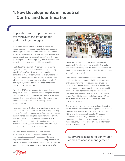# 1. New Developments in Industrial Control and Identification

# Implications and opportunities of evolving authentication needs and smart technologies

Employee ID cards (hereafter referred to simply as "cards") are commonly used credential to gain access to a facility, just as usernames and passwords are used to access software applications. With the cloud and big data accelerating the convergence of information technology (IT) and operations technology (OT), more refined security and risk management opportunities are available.

"We believe the growing IT/OT convergence is having a significant effect in the manufacturing and processing industries," says Craig Resnick, vice president of consulting at ARC Advisory Group. The two functions have begun working together over the past 5 to 10 years, and although companies today are at all different levels of convergence, Resnick believes the direction towards greater convergence is clear.

"When the IT/OT convergence is done, many times a company will utilize IT's security access and practices and try to apply that to control systems access, whether that's passwords or multilevel passwords, all the way up to iris scans depending on the level of security desired," explains Resnick.

Manufacturing is on the brink of a massive change as new connected, automated systems are now making their way onto the factory floor, serving as the foundation for creating smart factories, according to a report from research firm MarketsandMarkets published in September 2015. The Industrial Control and Factory Automation Market is expected to reach US\$202.42 billion by 2020 at a CAGR of 6.73% from 2015 to 2020, the report says.

New card-based readers coupled with partner applications are standardizing and streamlining manufacturing access control processes. The same employee credential used to enter a building can now also be used to authenticate access to equipment, factory lines, gated robotic rooms, documents and software, and to



regulate activity on control systems, networks and equipment. Virtually any movement within the facility and any activity throughout the day could potentially be tracked and managed with the right card reader, apps and an employee credential.

Card-based authentication is not only faster, but it eliminates the errors associated with manual password entry, thus improving accuracy and ease of use. For instance, in situations where a supervisor periodically helps an operator, a card-based access solution would prevent the operator from reusing the supervisor's username and password, avoiding intentional misuse or errors. The ability to leverage existing employee ID cards or key fobs with readers provides a desirable and cost-effective solution.

There are a variety of card readers available depending on the credential type used by an organization. There are magnetic stripe cards, barcode cards, proximity cards (125 kHz) or the increasingly popular RF-enabled contactless smart cards (13.56 MHz). On the manufacturing floor, contactless smart cards are used more frequently because of the amount of information these card types contain.

Everyone is a stakeholder when it comes to access management.

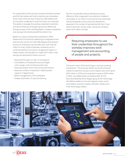For organizations that may have acquired another business and find themselves with both proximity and contactless smart cards, there are dual-frequency USB readers that can be easily configured to read more than one card type. This ability to leverage the existing credential investment and avoid retraining, while gaining process efficiencies through access control standardization, enables substantial cost savings that directly benefit the bottom line.

Based on a study of enterprises published in 2004, Datamonitor found that by deploying an integrated smart card security solution for both data (logical) and physical access, an enterprise may annually save more than \$2 million for every 2,000 employees covered by such a combined identity and access management system. In today's dollars, that equates to roughly \$2.5 million. Cost savings are attributed to factors such as:

- Reduced time spent on sign-on procedures
- Consolidation of employee access privileges onto a single, multi-functional smart card
- Improved quality control with access permissions
- Reduced numbers of password-related queries made to IT departments
- Better management of PKI certificates
- Greater automation of card provisioning

But the cost benefits extend well beyond access efficiency. After a large paint manufacturer installed a card reader on its mixers to ensure that only authorized, trained employees could unlock and operate the equipment, the number of bad batches fell from 12 per week to less than one per week, saving the company nearly \$2.5 million annually.

> Requiring employees to use their credentials throughout the workday improves work management and accounting of people and projects.

The proven value of this technology is driving increasing investments. "The American [North and South America] market for electronic access control readers was worth about \$237 million in 2015 and is projected to grow to \$252 million in 2016," says Blake Kozak, principal analyst for the Security & Building Technologies group at IHS Technology. IHS defines readers to include magnetic stripe, smart card readers, proximity readers, biometric readers and multi-technology readers.

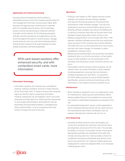## Applications Are Varied and Growing

Growing interconnectedness and the ability to standardize access control are revealing opportunities for risk management that were not previously viable. Both physical and logical access controls are an essential part of a complete security policy. And increasingly, access controls are becoming an important element of quality control policies. As the following examples indicate, security procedures and applications can be found throughout the plant to control access, manage access levels by user role, and track employee actions. Authentication solutions that read employee ID cards enable practically unlimited possibilities.

> RFID card-based solutions offer enhanced security, and with contactless smart cards, more information.

#### Information Technology

• Information systems and networks are vulnerable to hacking, malicious software, and lost or stolen devices. At the most basic level, IT needs to ensure that computer logins are the first step to protecting information. However, passwords can be forgotten, which consumes employee and help desk time. Switching from passwords to card-based authentication eliminates the manual keystrokes and associated problems. Leveraging twofactor authentication, such as a password and card, further increases the level of security.

# **Operations**

- Putting a card reader on PAC-based machine control software can prevent remote software updates and require the physical presence of the personnel authorized to make software changes. The use of an employee ID card as an authentication device prior to allowing software updates may reduce the likelihood of a malicious computer event like the Stuxnet worm that hijacked nuclear power plant motor control in Iran.
- Readers programmed to communicate with PAC or HMI operator interface software ensure that only authorized users can log in to the computer and use the software. This limits who can run the production line, how it works, and who can make changes, for example, to parts, ingredients or product colors.
- Requiring card authentication at a production line allows tracking of who is on the line and when, so that quality issues or other problems can be traced back to the individual, and retraining or other corrective actions can occur.
- Card readers used for access control purposes can be used for start-up control of forklifts or other material handling equipment, ensuring that only trained or certified employees can start them. It is important for OSHA safety purposes to ensure forklift operator identification, access control and monitoring, as this information is very helpful should an accident occur.

#### **Maintenance**

- When hazardous equipment such as a large press is due for maintenance, requiring card authentication before allowing safety features to be disabled can ensure that only properly credentialed employees are exposed to this risk.
- For specialized equipment, access control applications tied to employee training records can be used to ensure the maintenance technician's certification has not expired; otherwise the machine will not turn on.

# Item Dispensing

• Industrial vending machines with card readers can control who accesses the machines, track which items are dispensed, and account for the costs. This provides the ability to monitor consumption trends, ensuring the appropriate quantities are reordered at the right time to keep carrying costs low. It also provides a means to troubleshoot excessive withdrawals and reduce costs due to loss prevention, for instance if safety gloves are inadequate for a task and replaced often or an employee is taking gloves home.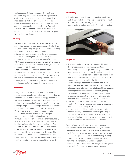• Tool access controls can be established so that an employee only has access to those tools specified for a job, helping to avoid defects or delays caused by incorrect tools. With the proper application, a cardbased reader solution can dispense the right tools to the appropriate person for their specific task. The application could also be designed to associate the items to a project or work order, and validate whether the expected types of items are taken.

# **Training**

- Taking training class attendance is easier and more accurate when employees use their cards to sign in and out, rather than using a sign-in sheet. Poor handwriting and forgetting to sign in reduce the efficacy of attendance tracking. Leveraging the employee card helps ensure training completion, which increases productivity and reduces defects. It also facilitates OSHA training requirements by automating the tracking and validation of class attendance, training dates and other pertinent information.
- When processes or equipment change, card authentication can be used to ensure employees have completed the necessary training. For example, when the card is presented to the computer software, a message can pop up informing the employee of the need to complete training on the new process.

# **Compliance**

- In regulated industries such as food processing or nuclear power, compliance and compliance reporting are essential. Access control and tracking applications can validate whether employees have the authentication to perform their assigned duties, whether it's reading a file, running a program or operating a machine. They can also help to capture the necessary regulatory records.
- Using cards for chain-of-custody documentation requirements ensures that only authorized personnel can obtain and print physical or electronic evidence.
- In industries like food processing and pharmaceuticals, federal inspectors have audit rights to check who is handling various activities on a production line. The addition of a presence detection device with a cardbased solution will give the auditors confidence that an operator's HMI is not accessible in the event it is left unattended. When the operator steps away, the presence detection device's sensors will close the screen until the operator returns and waves his or her card.

# **Purchasing**

• Securing purchasing files protects against credit card and identity theft. Requiring card access to the computer software ensures that only authorized personnel can access and manipulate personal or financial information.



# **Corporate**

- Requiring employees to use their work card throughout the work day improves work management and accounting of people and projects. Using a backend data management system and a card, the actual time and expenses spent on a task can be easily tracked and billed, and resource assignments can be more effective due to improved personnel and skills visibility.
- Secure printing is needed to ensure that document privacy issues are avoided. Card authentication at the printer prevents print jobs from printing until the requestor is in the presence of the printer. In addition, printing costs are reduced because employees are compelled to become more selective in what they print, and print functions can be limited to specified work functions.
- Card-based cashless cafeteria applications link the employee's record to a financial account, allowing them to move much faster through the sale.
- Mergers and acquisitions combine companies with different security practices and technologies. Using a card reader that reads virtually any card type avoids the expense of replacing cards, simplifies the transition, and improves efficiency for better operational workflow.

New solutions leveraging employee cards, readers and application software offer combined identity and access management capabilities for a wide range of applications in today's industrial enterprises. From providing enhanced security on the production line to authenticating training completion, these solutions play an important role in improving risk management and driving operational efficiencies. Their proven value is creating significant growth in the market for electronic access control readers.

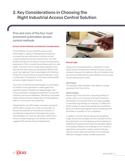# 2. Key Considerations in Choosing the Right Industrial Access Control Solution

# Pros and cons of the four most prominent automation access control methods

# Access Control Methods and Selection Considerations

The proliferation of new industrial access control technologies is making it challenging for enterprises to choose the right methods and solutions for their unique business and security requirements. The most prevalent access control options include manually typing passwords or PINs, or presenting employee cards to a card reader—the most common types being magnetic stripe, barcode and radio-frequency identification (RFID) smart cards. Each approach has its advantages and limitations, though the manual method is quickly losing favor. Using a combination of methods for multi-factor authentication achieves a higher degree of security.

The choice of methods and technologies must be based on analysis of the organization's needs against the proposed solution's benefits and disadvantages. With various automation management platforms syncing with a directory service and databases, identifying card-based reader solutions that are independent of those platforms helps to "future-proof" the investment.

"Regarding the use of RF readers, barcodes, passwords and the like for access, it is usually a combination of the security practices of the particular company's IT and Operations departments that determine access methodologies on a case-by-case basis, rather than a trend of companies going in one direction or another," suggests ARC Advisory Group's Craig Resnick.



# Manual Login

Typing user ID and passwords on a keyboard or smart device remains the dominant method to access secured software. However, this method is rife with limitations that can only be avoided with the ease, efficiency and accuracy of card-based access control.

#### *Advantages:*

This approach offers flexibility in the ability to change passwords from time to time.

#### *Disadvantages:*

Manual login is the most time-consuming method of access control, and it requires a fair level of dexterity and freedom of movement that is not always available in manufacturing settings. For example, it is difficult for factory workers to type while wearing heavy protective gloves, but removing the gloves may put employees and the facility in a position of non-compliance.

In addition, now that "secure" passwords are getting longer and far more complex, the time required for entry, the potential for error and rekeying, and the likelihood of forgetting the password and requiring help desk support is increasing. Adding to the challenge are the numerous applications and systems used by workers that each require a unique login and password. It is increasingly difficult to manage multiple, complex passwords.

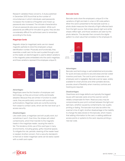Research validates these concerns. A study published in December 2012 found that as the number of circumstances in which individuals used passwords increased, the incidence of forgotten and mixed-up passwords also increased. The intricate characteristics of secure passwords also pose a problem. While such passwords are difficult for intruders to guess, they are also considerably difficult for authorized users to remember, according to the study.

## Magstripe Cards

Magnetic stripe (or magstripe) cards use iron-based magnetic particles to store the employee's unique identification number. Physically and functionally, they resemble a credit card. As the card is pulled through a slot on the reader, an electromagnet is used to detect variations in the magnetic poles embedded onto the card's magstripe, and those variations represent the employee unique ID.



#### *Advantages:*

Magstripes were the first iteration of employee card technology, so they are a known entity and broadly adopted. Because they are similar in function to credit cards, they are particularly common with purchase authorizations. Magstripe cards are currently evolving from swipe to contact cards, which are the next level up in access security.

#### *Disadvantages:*

Like credit cards, a magstripe card will usually work, but sometimes it won't. Over time, the stripes will collect contaminants, which then transfer to the magnetic heads in the magstripe reader, causing the read to fail. This tendency limits use of this card type in many environments, including greasy, gritty industrial spaces. To mitigate this risk, periodic cleaning of the reader head is needed. Another concern, from a security standpoint, is that lost or stolen magstripe cards can be easily copied with a credit card copier.

# Barcode Cards

Barcode cards store the employee's unique ID in the variations of light and dark in a bar or QR code pattern. When the card is presented to the barcode scanner, a photo diode measures the intensity of light reflected back from the light source. Dark stripes absorb light and white stripes reflect light, and those variations are seen by the photo detector. The decoder then converts the digital pattern to a text value that correlates to the employee ID.



#### *Advantages:*

Barcode card technology is well established and provides for quick and easy access to secured areas and bar coded inventory and tools. The cost to print a barcode on an employee card is negligible. Barcode scanner apps, widely available for smart phones and other portable devices, provide a level of flexibility when inventory controls and tracking are required.

#### *Disadvantages:*

Cleanliness and image defects are typically the biggest issues with barcode cards since the scanner cannot reliably compensate for them. Read accuracy may be compromised by poor print contrast between the light and dark bars, whether caused by contaminants, low-quality printing or fading. The barcode must also be within the scanner's line of sight. Another disadvantage is the inability to change the data stored on the barcode, which means that adding information to the card, or adding additional access points or systems to the card, requires printing a new bar code.

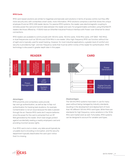# RFID Cards

RFID card-based solutions are similar to magstripe and barcode card solutions in terms of access control, but they offer more security and, with contactless smart cards, more information. RFID solutions comprise a card that stores the unique employee ID and an RFID USB reader device. For passive RFID systems, the reader uses electromagnetic coupling to remotely power the card and transmit data between the reader and card. For programmable controllers using EtherNet/IP, readers like those offered by rf IDEAS have an EtherNet Industrial Protocol interface with Power-over-Ethernet for direct connections.

RFID readers are available to communicate with 125 kHz cards, 132 kHz cards, 13.56 MHz cards, UHF (860- 960 MHz), or dual frequencies such as 125 kHz and 13.56 MHz in one reader. Ultra-high-frequency RFID can function without line of sight and is typically used for asset tracking. However, for most industrial applications, a greater level of comfort and security is provided by high- and low-frequency cards that must be within inches of the reader for authentication. RFID technology is discussed in greater depth later in this paper.



# READER CARD CARD CARD

#### *Advantages:*

RFID proximity and contactless cards provide tap-and-go authentication, as well as tap-in/tap-out authentication for tracking task durations, for example. Contamination is not an issue because the data is passed through the air. Passive RFID cards don't require batteries since the power for the card is extracted from an RF field generated by the reader. Short read ranges protect against accidentally reading a nearby employee's card and providing incorrect access rights.

If an RFID card is lost or stolen, any data would typically be unusable due to encoding or encryption, and the security department typically deactivates the card upon notice that it is missing.

#### *Disadvantages:*

The 125 kHz RFID systems have been in use for many years without being managed by industry standards, resulting in the development and deployment of more than 40 different 125 kHz RFID card types. While there are standards for high frequency, some variations in the 13.56 MHz card market exist as well. Fortunately, RFID systems can be designed to account for variable card types.

TX **Clock** gen

Digital Circuits **Microprocessor** 

Power **Generation** 

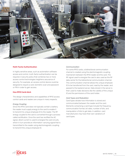

# Multi-Factor Authentication

In highly sensitive areas, such as automation software access and control, multi-factor authentication can be required. A security policy that combines two or more access control technologies heightens assurance of security. For example, an access control device could be designed to require a card, biometric scan and password or PIN in order to gain access.

# How RFID Cards Work

The design characteristics and capabilities of RFID access control cards and readers are unique in many respects.

#### *Energy Coupling*

Since the RFID card does not typically contain a battery, the reader must supply energy to the card to enable it to transmit its unique employee ID to the reader. The RF energy coupled to the card is converted through a process called rectification. Once the card has rectified the AC signal, direct current is used to energize the card circuits, which in turn provide an information-carrying signal that is transmitted to the reader using electromagnetic coupling to transmit the unique employee ID.

#### *Communication*

For some RFID cards, a bidirectional communication channel is created using the electromagnetic coupling mechanism between the RFID reader and the card. The RF signal used to energize the card is also used as the RF data carrier for the bidirectional communication channel. This communication channel allows the unique employee ID to be transferred from the card, read by the reader, and passed to the backend server. Data stored in the server is then used to make decisions like the validity of the unique ID and the permissions of the card holder.

#### *Card Types and Modulation*

Card types dictate how information is stored and communicated between the reader and the card. Elements comprising a card type include the frequency, communication format, bit rates, number of bits, and manipulation of bits to get data. In addition, card manufacturers may have their own variations of card types.

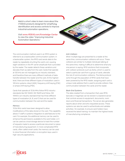Watch a short video to learn more about the rf IDEAS products designed for simplifying identification and access controls to improve industrial automation operations.

Visit www.rfIDEAS.com/Knowledge-Center to view the video "Improving Industrial Automation Operations."



The communication method used in an RFID system is referred to as a backscatter communication system. In a backscatter system, the RFID card sends data to the reader by repeatedly shunting the card's coil, causing slight variations in the RF carrier amplitude that is provided by the reader. The reader detects these variations and decodes them as data from the card. Cards that operate at 125 kHz are not managed by an industry standard, and therefore there are many different methods of data transfer between the reader and the card. At the highest level, there are three different types of modulation used in 125 kHz systems: direct (ASK), frequency shift keying (FSK) or phase shift keying (PSK).

Cards that operate at 13.56 MHz follow RFID industry standards like ISO 14443, ISO 15693 and Felica. ISO 14443 is an industry standard that has three different types of modulation (A, B, and F) that can be used for communication between the card and the reader.

#### *Memory*

13.56 MHz cards have been designed to allow modifications of the data stored on the card. This capability allows IT staff or systems integrators to add features to the card. For example, the additional memory can be used to enhance the permissions available to the card holder, or it can be used as a local storage device to track the number of requests made to access a particular document or piece of manufacturing equipment. In more complicated RFID cards, often called smart cards, the memory can be used to store financial information or encryption keys used in high-security applications.

#### *Anti-Collision*

When multiple tags are presented to a reader at the same time, communication collisions will occur. These collisions are similar to multiple individuals talking at the same time, making it difficult to determine what any one person is saying. RFID solutions that incorporate anti-collision protocols such as Aloha, which is used to select a particular card from a group of cards, alleviate the risk of communication collisions. The Aloha protocol sorts through the population of RFID cards that have been powered by the RFID reader, assigning each card a unique node address that is used to provide collision-free communication between the cards and the reader.

# *Back-End Systems*

The data created from a transaction that uses RFID, barcode or magstripe can be stored in a backend server that controls access to equipment, documents, room doors and financial transactions. The server also generates reports about when and who requested access. These systems can also be used to authenticate and validate activities—for example, to ensure card holders have received the latest training—to maintain the highest levels of manufacturing compliance.